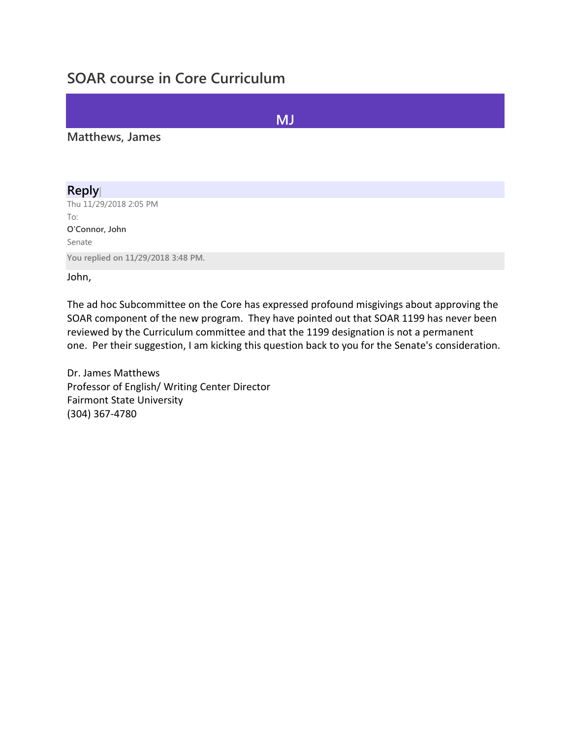# **SOAR course in Core Curriculum**

### **MJ**

#### **Matthews, James**

### **Reply|**

Thu 11/29/2018 2:05 PM To: **O'Connor, John** Senate **You replied on 11/29/2018 3:48 PM.**

John,

The ad hoc Subcommittee on the Core has expressed profound misgivings about approving the SOAR component of the new program. They have pointed out that SOAR 1199 has never been reviewed by the Curriculum committee and that the 1199 designation is not a permanent one. Per their suggestion, I am kicking this question back to you for the Senate's consideration.

Dr. James Matthews Professor of English/ Writing Center Director Fairmont State University (304) 367-4780